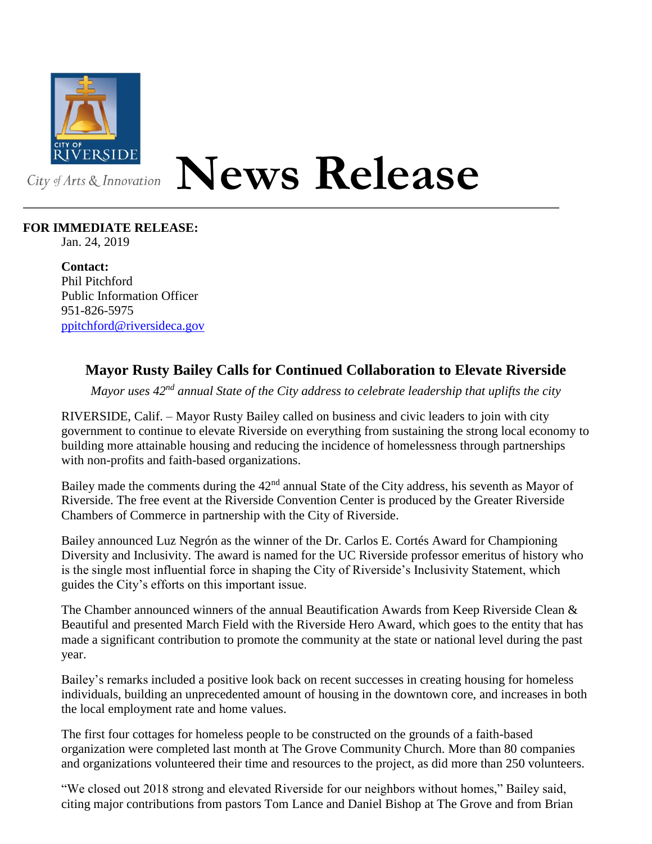

## **News Release**

## **FOR IMMEDIATE RELEASE:**

Jan. 24, 2019

**Contact:** Phil Pitchford Public Information Officer 951-826-5975 [ppitchford@riversideca.gov](mailto:ppitchford@riversideca.gov)

## **Mayor Rusty Bailey Calls for Continued Collaboration to Elevate Riverside**

*Mayor uses 42nd annual State of the City address to celebrate leadership that uplifts the city*

RIVERSIDE, Calif. – Mayor Rusty Bailey called on business and civic leaders to join with city government to continue to elevate Riverside on everything from sustaining the strong local economy to building more attainable housing and reducing the incidence of homelessness through partnerships with non-profits and faith-based organizations.

Bailey made the comments during the 42<sup>nd</sup> annual State of the City address, his seventh as Mayor of Riverside. The free event at the Riverside Convention Center is produced by the Greater Riverside Chambers of Commerce in partnership with the City of Riverside.

Bailey announced Luz Negrón as the winner of the Dr. Carlos E. Cortés Award for Championing Diversity and Inclusivity. The award is named for the UC Riverside professor emeritus of history who is the single most influential force in shaping the City of Riverside's Inclusivity Statement, which guides the City's efforts on this important issue.

The Chamber announced winners of the annual Beautification Awards from Keep Riverside Clean  $\&$ Beautiful and presented March Field with the Riverside Hero Award, which goes to the entity that has made a significant contribution to promote the community at the state or national level during the past year.

Bailey's remarks included a positive look back on recent successes in creating housing for homeless individuals, building an unprecedented amount of housing in the downtown core, and increases in both the local employment rate and home values.

The first four cottages for homeless people to be constructed on the grounds of a faith-based organization were completed last month at The Grove Community Church. More than 80 companies and organizations volunteered their time and resources to the project, as did more than 250 volunteers.

"We closed out 2018 strong and elevated Riverside for our neighbors without homes," Bailey said, citing major contributions from pastors Tom Lance and Daniel Bishop at The Grove and from Brian